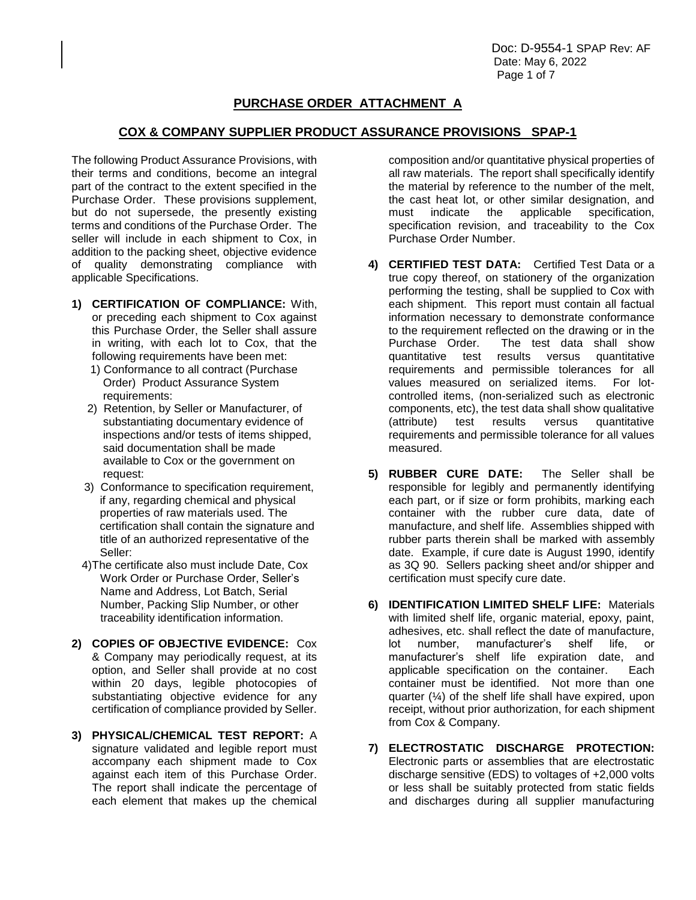Doc: D-9554-1 SPAP Rev: AF Date: May 6, 2022 Page 1 of 7

# **PURCHASE ORDER ATTACHMENT A**

## **COX & COMPANY SUPPLIER PRODUCT ASSURANCE PROVISIONS SPAP-1**

The following Product Assurance Provisions, with their terms and conditions, become an integral part of the contract to the extent specified in the Purchase Order. These provisions supplement, but do not supersede, the presently existing terms and conditions of the Purchase Order. The seller will include in each shipment to Cox, in addition to the packing sheet, objective evidence of quality demonstrating compliance with applicable Specifications.

- **1) CERTIFICATION OF COMPLIANCE:** With, or preceding each shipment to Cox against this Purchase Order, the Seller shall assure in writing, with each lot to Cox, that the following requirements have been met:
	- 1) Conformance to all contract (Purchase Order) Product Assurance System requirements:
	- 2) Retention, by Seller or Manufacturer, of substantiating documentary evidence of inspections and/or tests of items shipped, said documentation shall be made available to Cox or the government on request:
	- 3) Conformance to specification requirement, if any, regarding chemical and physical properties of raw materials used. The certification shall contain the signature and title of an authorized representative of the Seller:
	- 4)The certificate also must include Date, Cox Work Order or Purchase Order, Seller's Name and Address, Lot Batch, Serial Number, Packing Slip Number, or other traceability identification information.
- **2) COPIES OF OBJECTIVE EVIDENCE:** Cox & Company may periodically request, at its option, and Seller shall provide at no cost within 20 days, legible photocopies of substantiating objective evidence for any certification of compliance provided by Seller.
- **3) PHYSICAL/CHEMICAL TEST REPORT:** A signature validated and legible report must accompany each shipment made to Cox against each item of this Purchase Order. The report shall indicate the percentage of each element that makes up the chemical

composition and/or quantitative physical properties of all raw materials. The report shall specifically identify the material by reference to the number of the melt, the cast heat lot, or other similar designation, and must indicate the applicable specification, specification revision, and traceability to the Cox Purchase Order Number.

- **4) CERTIFIED TEST DATA:** Certified Test Data or a true copy thereof, on stationery of the organization performing the testing, shall be supplied to Cox with each shipment. This report must contain all factual information necessary to demonstrate conformance to the requirement reflected on the drawing or in the Purchase Order. The test data shall show quantitative test results versus quantitative requirements and permissible tolerances for all values measured on serialized items. For lotcontrolled items, (non-serialized such as electronic components, etc), the test data shall show qualitative (attribute) test results versus quantitative requirements and permissible tolerance for all values measured.
- **5) RUBBER CURE DATE:** The Seller shall be responsible for legibly and permanently identifying each part, or if size or form prohibits, marking each container with the rubber cure data, date of manufacture, and shelf life. Assemblies shipped with rubber parts therein shall be marked with assembly date. Example, if cure date is August 1990, identify as 3Q 90. Sellers packing sheet and/or shipper and certification must specify cure date.
- **6) IDENTIFICATION LIMITED SHELF LIFE:** Materials with limited shelf life, organic material, epoxy, paint, adhesives, etc. shall reflect the date of manufacture, lot number, manufacturer's shelf life, or manufacturer's shelf life expiration date, and applicable specification on the container. Each container must be identified. Not more than one quarter  $(\frac{1}{4})$  of the shelf life shall have expired, upon receipt, without prior authorization, for each shipment from Cox & Company.
- **7) ELECTROSTATIC DISCHARGE PROTECTION:**  Electronic parts or assemblies that are electrostatic discharge sensitive (EDS) to voltages of +2,000 volts or less shall be suitably protected from static fields and discharges during all supplier manufacturing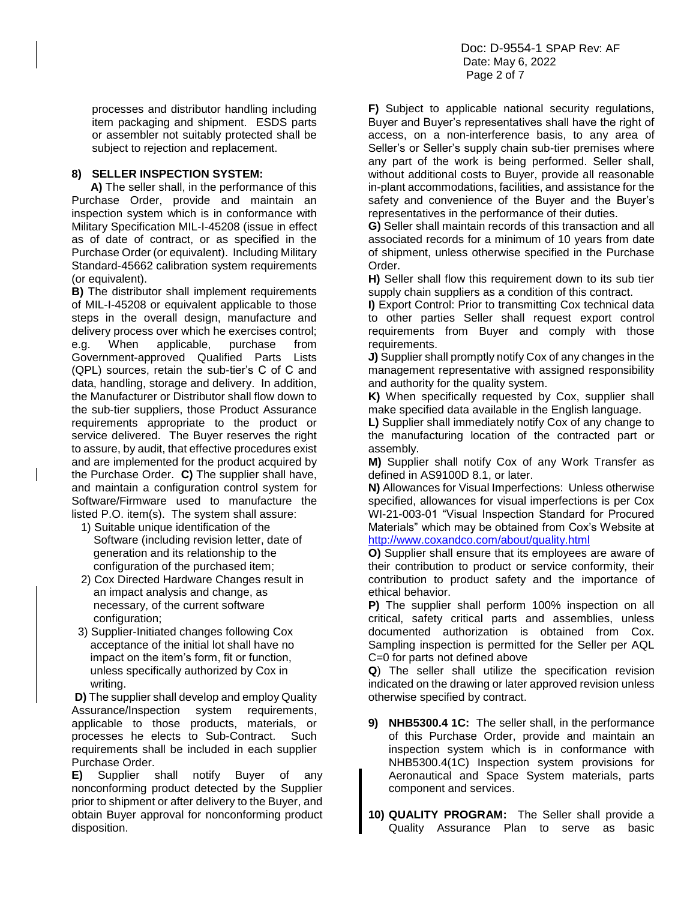processes and distributor handling including item packaging and shipment. ESDS parts or assembler not suitably protected shall be subject to rejection and replacement.

## **8) SELLER INSPECTION SYSTEM:**

 **A)** The seller shall, in the performance of this Purchase Order, provide and maintain an inspection system which is in conformance with Military Specification MIL-I-45208 (issue in effect as of date of contract, or as specified in the Purchase Order (or equivalent). Including Military Standard-45662 calibration system requirements (or equivalent).

**B)** The distributor shall implement requirements of MIL-I-45208 or equivalent applicable to those steps in the overall design, manufacture and delivery process over which he exercises control; e.g. When applicable, purchase from Government-approved Qualified Parts Lists (QPL) sources, retain the sub-tier's C of C and data, handling, storage and delivery. In addition, the Manufacturer or Distributor shall flow down to the sub-tier suppliers, those Product Assurance requirements appropriate to the product or service delivered. The Buyer reserves the right to assure, by audit, that effective procedures exist and are implemented for the product acquired by the Purchase Order. **C)** The supplier shall have, and maintain a configuration control system for Software/Firmware used to manufacture the listed P.O. item(s). The system shall assure:

- 1) Suitable unique identification of the Software (including revision letter, date of generation and its relationship to the configuration of the purchased item;
- 2) Cox Directed Hardware Changes result in an impact analysis and change, as necessary, of the current software configuration;
- 3) Supplier-Initiated changes following Cox acceptance of the initial lot shall have no impact on the item's form, fit or function, unless specifically authorized by Cox in writing.

**D)** The supplier shall develop and employ Quality Assurance/Inspection system requirements, applicable to those products, materials, or processes he elects to Sub-Contract. Such requirements shall be included in each supplier Purchase Order.

**E)** Supplier shall notify Buyer of any nonconforming product detected by the Supplier prior to shipment or after delivery to the Buyer, and obtain Buyer approval for nonconforming product disposition.

**F)** Subject to applicable national security regulations, Buyer and Buyer's representatives shall have the right of access, on a non-interference basis, to any area of Seller's or Seller's supply chain sub-tier premises where any part of the work is being performed. Seller shall, without additional costs to Buyer, provide all reasonable in-plant accommodations, facilities, and assistance for the safety and convenience of the Buyer and the Buyer's representatives in the performance of their duties.

**G)** Seller shall maintain records of this transaction and all associated records for a minimum of 10 years from date of shipment, unless otherwise specified in the Purchase Order.

**H)** Seller shall flow this requirement down to its sub tier supply chain suppliers as a condition of this contract.

**I)** Export Control: Prior to transmitting Cox technical data to other parties Seller shall request export control requirements from Buyer and comply with those requirements.

**J)** Supplier shall promptly notify Cox of any changes in the management representative with assigned responsibility and authority for the quality system.

**K)** When specifically requested by Cox, supplier shall make specified data available in the English language.

**L)** Supplier shall immediately notify Cox of any change to the manufacturing location of the contracted part or assembly.

**M)** Supplier shall notify Cox of any Work Transfer as defined in AS9100D 8.1, or later.

**N)** Allowances for Visual Imperfections: Unless otherwise specified, allowances for visual imperfections is per Cox WI-21-003-01 "Visual Inspection Standard for Procured Materials" which may be obtained from Cox's Website at <http://www.coxandco.com/about/quality.html>

**O)** Supplier shall ensure that its employees are aware of their contribution to product or service conformity, their contribution to product safety and the importance of ethical behavior.

**P)** The supplier shall perform 100% inspection on all critical, safety critical parts and assemblies, unless documented authorization is obtained from Cox. Sampling inspection is permitted for the Seller per AQL C=0 for parts not defined above

**Q**) The seller shall utilize the specification revision indicated on the drawing or later approved revision unless otherwise specified by contract.

- **9) NHB5300.4 1C:** The seller shall, in the performance of this Purchase Order, provide and maintain an inspection system which is in conformance with NHB5300.4(1C) Inspection system provisions for Aeronautical and Space System materials, parts component and services.
- **10) QUALITY PROGRAM:** The Seller shall provide a Quality Assurance Plan to serve as basic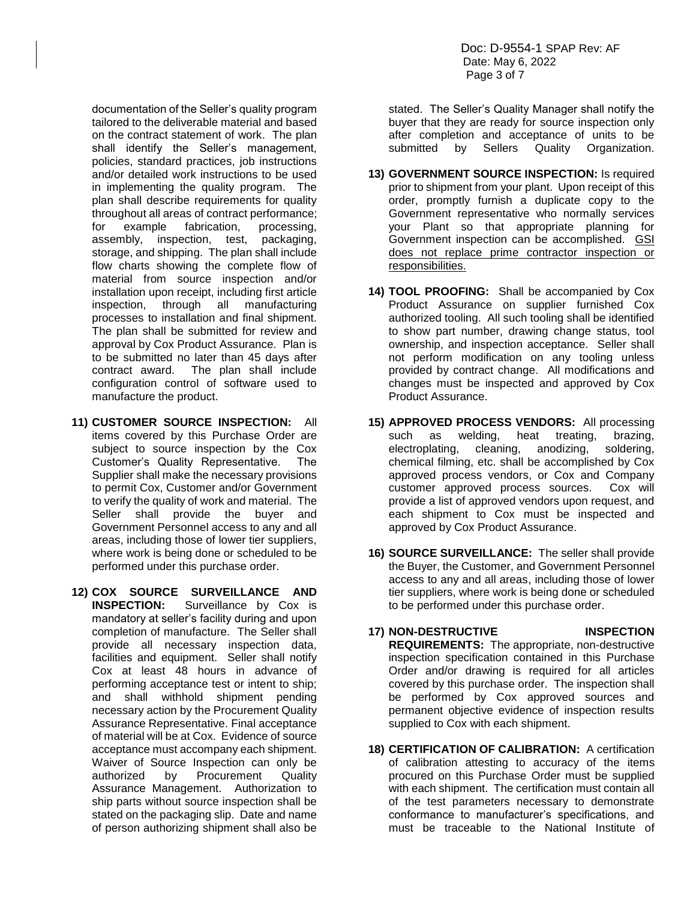documentation of the Seller's quality program tailored to the deliverable material and based on the contract statement of work. The plan shall identify the Seller's management, policies, standard practices, job instructions and/or detailed work instructions to be used in implementing the quality program. The plan shall describe requirements for quality throughout all areas of contract performance; for example fabrication, processing, assembly, inspection, test, packaging, storage, and shipping. The plan shall include flow charts showing the complete flow of material from source inspection and/or installation upon receipt, including first article inspection, through all manufacturing processes to installation and final shipment. The plan shall be submitted for review and approval by Cox Product Assurance. Plan is to be submitted no later than 45 days after contract award. The plan shall include configuration control of software used to manufacture the product.

- **11) CUSTOMER SOURCE INSPECTION:** All items covered by this Purchase Order are subject to source inspection by the Cox Customer's Quality Representative. The Supplier shall make the necessary provisions to permit Cox, Customer and/or Government to verify the quality of work and material. The Seller shall provide the buyer and Government Personnel access to any and all areas, including those of lower tier suppliers, where work is being done or scheduled to be performed under this purchase order.
- **12) COX SOURCE SURVEILLANCE AND INSPECTION:** Surveillance by Cox is mandatory at seller's facility during and upon completion of manufacture. The Seller shall provide all necessary inspection data, facilities and equipment. Seller shall notify Cox at least 48 hours in advance of performing acceptance test or intent to ship; and shall withhold shipment pending necessary action by the Procurement Quality Assurance Representative. Final acceptance of material will be at Cox. Evidence of source acceptance must accompany each shipment. Waiver of Source Inspection can only be authorized by Procurement Quality Assurance Management. Authorization to ship parts without source inspection shall be stated on the packaging slip. Date and name of person authorizing shipment shall also be

stated. The Seller's Quality Manager shall notify the buyer that they are ready for source inspection only after completion and acceptance of units to be submitted by Sellers Quality Organization.

- **13) GOVERNMENT SOURCE INSPECTION:** Is required prior to shipment from your plant. Upon receipt of this order, promptly furnish a duplicate copy to the Government representative who normally services your Plant so that appropriate planning for Government inspection can be accomplished. GSI does not replace prime contractor inspection or responsibilities.
- **14) TOOL PROOFING:** Shall be accompanied by Cox Product Assurance on supplier furnished Cox authorized tooling. All such tooling shall be identified to show part number, drawing change status, tool ownership, and inspection acceptance. Seller shall not perform modification on any tooling unless provided by contract change. All modifications and changes must be inspected and approved by Cox Product Assurance.
- **15) APPROVED PROCESS VENDORS:** All processing such as welding, heat treating, brazing, electroplating, cleaning, anodizing, soldering, chemical filming, etc. shall be accomplished by Cox approved process vendors, or Cox and Company customer approved process sources. Cox will provide a list of approved vendors upon request, and each shipment to Cox must be inspected and approved by Cox Product Assurance.
- **16) SOURCE SURVEILLANCE:** The seller shall provide the Buyer, the Customer, and Government Personnel access to any and all areas, including those of lower tier suppliers, where work is being done or scheduled to be performed under this purchase order.
- **17) NON-DESTRUCTIVE INSPECTION REQUIREMENTS:** The appropriate, non-destructive inspection specification contained in this Purchase Order and/or drawing is required for all articles covered by this purchase order. The inspection shall be performed by Cox approved sources and permanent objective evidence of inspection results supplied to Cox with each shipment.
- **18) CERTIFICATION OF CALIBRATION:** A certification of calibration attesting to accuracy of the items procured on this Purchase Order must be supplied with each shipment. The certification must contain all of the test parameters necessary to demonstrate conformance to manufacturer's specifications, and must be traceable to the National Institute of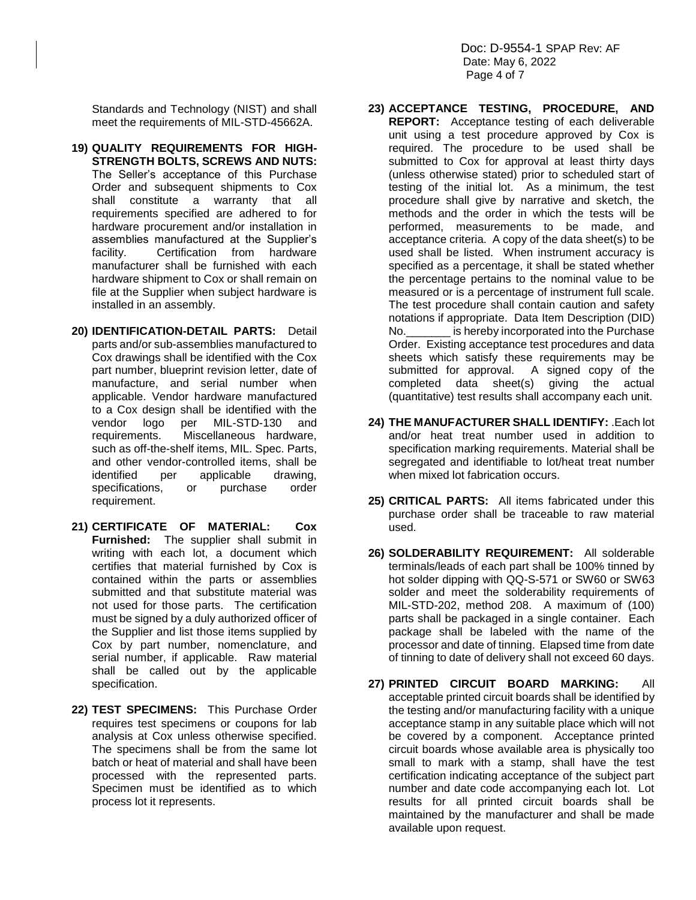Standards and Technology (NIST) and shall meet the requirements of MIL-STD-45662A.

- **19) QUALITY REQUIREMENTS FOR HIGH-STRENGTH BOLTS, SCREWS AND NUTS:** The Seller's acceptance of this Purchase Order and subsequent shipments to Cox shall constitute a warranty that all requirements specified are adhered to for hardware procurement and/or installation in assemblies manufactured at the Supplier's facility. Certification from hardware manufacturer shall be furnished with each hardware shipment to Cox or shall remain on file at the Supplier when subject hardware is installed in an assembly.
- **20) IDENTIFICATION-DETAIL PARTS:** Detail parts and/or sub-assemblies manufactured to Cox drawings shall be identified with the Cox part number, blueprint revision letter, date of manufacture, and serial number when applicable. Vendor hardware manufactured to a Cox design shall be identified with the vendor logo per MIL-STD-130 and requirements. Miscellaneous hardware, such as off-the-shelf items, MIL. Spec. Parts, and other vendor-controlled items, shall be identified per applicable drawing, specifications, or purchase order requirement.
- **21) CERTIFICATE OF MATERIAL: Cox Furnished:** The supplier shall submit in writing with each lot, a document which certifies that material furnished by Cox is contained within the parts or assemblies submitted and that substitute material was not used for those parts. The certification must be signed by a duly authorized officer of the Supplier and list those items supplied by Cox by part number, nomenclature, and serial number, if applicable. Raw material shall be called out by the applicable specification.
- **22) TEST SPECIMENS:** This Purchase Order requires test specimens or coupons for lab analysis at Cox unless otherwise specified. The specimens shall be from the same lot batch or heat of material and shall have been processed with the represented parts. Specimen must be identified as to which process lot it represents.
- **23) ACCEPTANCE TESTING, PROCEDURE, AND REPORT:** Acceptance testing of each deliverable unit using a test procedure approved by Cox is required. The procedure to be used shall be submitted to Cox for approval at least thirty days (unless otherwise stated) prior to scheduled start of testing of the initial lot. As a minimum, the test procedure shall give by narrative and sketch, the methods and the order in which the tests will be performed, measurements to be made, and acceptance criteria. A copy of the data sheet(s) to be used shall be listed. When instrument accuracy is specified as a percentage, it shall be stated whether the percentage pertains to the nominal value to be measured or is a percentage of instrument full scale. The test procedure shall contain caution and safety notations if appropriate. Data Item Description (DID) No.\_\_\_\_\_\_\_ is hereby incorporated into the Purchase Order. Existing acceptance test procedures and data sheets which satisfy these requirements may be submitted for approval. A signed copy of the completed data sheet(s) giving the actual (quantitative) test results shall accompany each unit.
- **24) THE MANUFACTURER SHALL IDENTIFY:** .Each lot and/or heat treat number used in addition to specification marking requirements. Material shall be segregated and identifiable to lot/heat treat number when mixed lot fabrication occurs.
- **25) CRITICAL PARTS:** All items fabricated under this purchase order shall be traceable to raw material used.
- **26) SOLDERABILITY REQUIREMENT:** All solderable terminals/leads of each part shall be 100% tinned by hot solder dipping with QQ-S-571 or SW60 or SW63 solder and meet the solderability requirements of MIL-STD-202, method 208. A maximum of (100) parts shall be packaged in a single container. Each package shall be labeled with the name of the processor and date of tinning. Elapsed time from date of tinning to date of delivery shall not exceed 60 days.
- **27) PRINTED CIRCUIT BOARD MARKING:** All acceptable printed circuit boards shall be identified by the testing and/or manufacturing facility with a unique acceptance stamp in any suitable place which will not be covered by a component. Acceptance printed circuit boards whose available area is physically too small to mark with a stamp, shall have the test certification indicating acceptance of the subject part number and date code accompanying each lot. Lot results for all printed circuit boards shall be maintained by the manufacturer and shall be made available upon request.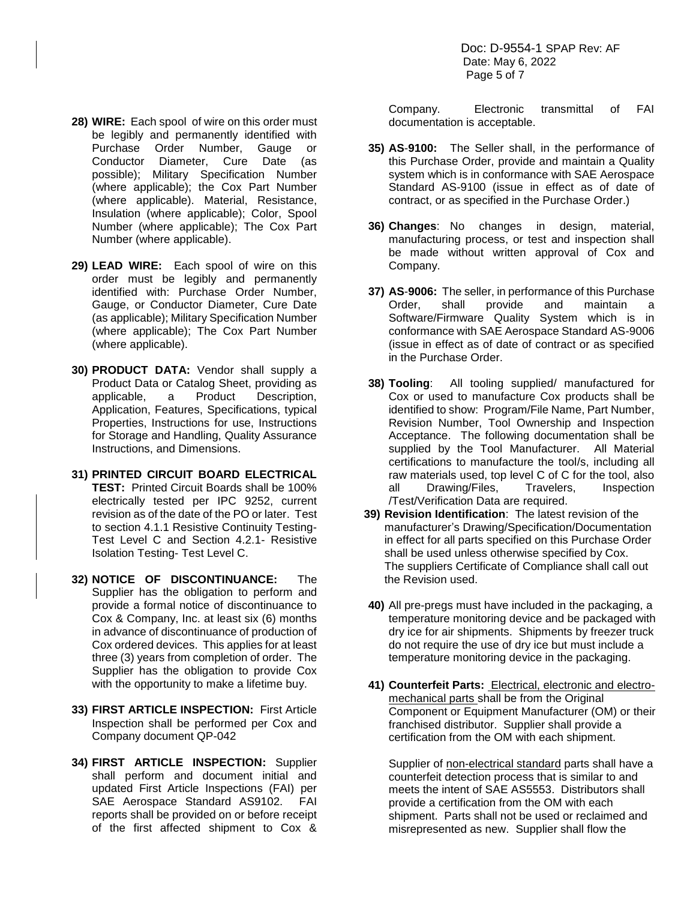- **28) WIRE:** Each spool of wire on this order must be legibly and permanently identified with Purchase Order Number, Gauge or Conductor Diameter, Cure Date (as possible); Military Specification Number (where applicable); the Cox Part Number (where applicable). Material, Resistance, Insulation (where applicable); Color, Spool Number (where applicable); The Cox Part Number (where applicable).
- **29) LEAD WIRE:** Each spool of wire on this order must be legibly and permanently identified with: Purchase Order Number, Gauge, or Conductor Diameter, Cure Date (as applicable); Military Specification Number (where applicable); The Cox Part Number (where applicable).
- **30) PRODUCT DATA:** Vendor shall supply a Product Data or Catalog Sheet, providing as applicable, a Product Description, Application, Features, Specifications, typical Properties, Instructions for use, Instructions for Storage and Handling, Quality Assurance Instructions, and Dimensions.
- **31) PRINTED CIRCUIT BOARD ELECTRICAL TEST:** Printed Circuit Boards shall be 100% electrically tested per IPC 9252, current revision as of the date of the PO or later. Test to section 4.1.1 Resistive Continuity Testing-Test Level C and Section 4.2.1- Resistive Isolation Testing- Test Level C.
- **32) NOTICE OF DISCONTINUANCE:** The Supplier has the obligation to perform and provide a formal notice of discontinuance to Cox & Company, Inc. at least six (6) months in advance of discontinuance of production of Cox ordered devices. This applies for at least three (3) years from completion of order. The Supplier has the obligation to provide Cox with the opportunity to make a lifetime buy.
- **33) FIRST ARTICLE INSPECTION:** First Article Inspection shall be performed per Cox and Company document QP-042
- **34) FIRST ARTICLE INSPECTION:** Supplier shall perform and document initial and updated First Article Inspections (FAI) per SAE Aerospace Standard AS9102. FAI reports shall be provided on or before receipt of the first affected shipment to Cox &

Company. Electronic transmittal of FAI documentation is acceptable.

- **35) AS**-**9100:** The Seller shall, in the performance of this Purchase Order, provide and maintain a Quality system which is in conformance with SAE Aerospace Standard AS-9100 (issue in effect as of date of contract, or as specified in the Purchase Order.)
- **36) Changes**: No changes in design, material, manufacturing process, or test and inspection shall be made without written approval of Cox and Company.
- **37) AS**-**9006:** The seller, in performance of this Purchase Order, shall provide and maintain a Software/Firmware Quality System which is in conformance with SAE Aerospace Standard AS-9006 (issue in effect as of date of contract or as specified in the Purchase Order.
- **38) Tooling**: All tooling supplied/ manufactured for Cox or used to manufacture Cox products shall be identified to show: Program/File Name, Part Number, Revision Number, Tool Ownership and Inspection Acceptance. The following documentation shall be supplied by the Tool Manufacturer. All Material certifications to manufacture the tool/s, including all raw materials used, top level C of C for the tool, also all Drawing/Files, Travelers, Inspection /Test/Verification Data are required.
- **39) Revision Identification**: The latest revision of the manufacturer's Drawing/Specification/Documentation in effect for all parts specified on this Purchase Order shall be used unless otherwise specified by Cox. The suppliers Certificate of Compliance shall call out the Revision used.
- **40)** All pre-pregs must have included in the packaging, a temperature monitoring device and be packaged with dry ice for air shipments. Shipments by freezer truck do not require the use of dry ice but must include a temperature monitoring device in the packaging.
- **41) Counterfeit Parts:** Electrical, electronic and electromechanical parts shall be from the Original Component or Equipment Manufacturer (OM) or their franchised distributor. Supplier shall provide a certification from the OM with each shipment.

Supplier of non-electrical standard parts shall have a counterfeit detection process that is similar to and meets the intent of SAE AS5553. Distributors shall provide a certification from the OM with each shipment. Parts shall not be used or reclaimed and misrepresented as new. Supplier shall flow the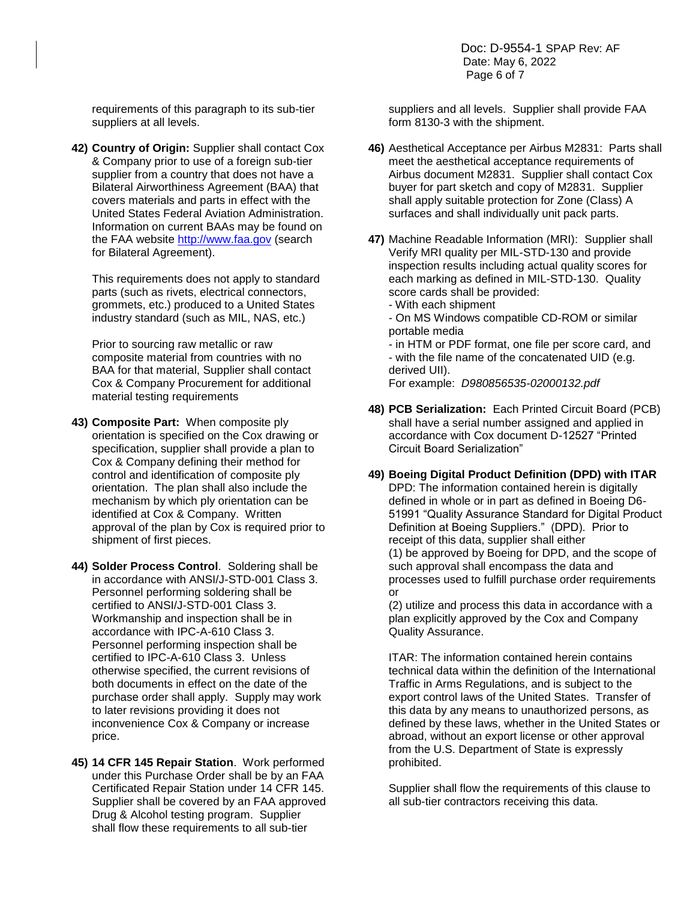Doc: D-9554-1 SPAP Rev: AF Date: May 6, 2022 Page 6 of 7

requirements of this paragraph to its sub-tier suppliers at all levels.

**42) Country of Origin:** Supplier shall contact Cox & Company prior to use of a foreign sub-tier supplier from a country that does not have a Bilateral Airworthiness Agreement (BAA) that covers materials and parts in effect with the United States Federal Aviation Administration. Information on current BAAs may be found on the FAA website [http://www.faa.gov](http://www.faa.gov/) (search for Bilateral Agreement).

This requirements does not apply to standard parts (such as rivets, electrical connectors, grommets, etc.) produced to a United States industry standard (such as MIL, NAS, etc.)

Prior to sourcing raw metallic or raw composite material from countries with no BAA for that material, Supplier shall contact Cox & Company Procurement for additional material testing requirements

- **43) Composite Part:** When composite ply orientation is specified on the Cox drawing or specification, supplier shall provide a plan to Cox & Company defining their method for control and identification of composite ply orientation. The plan shall also include the mechanism by which ply orientation can be identified at Cox & Company. Written approval of the plan by Cox is required prior to shipment of first pieces.
- **44) Solder Process Control**. Soldering shall be in accordance with ANSI/J-STD-001 Class 3. Personnel performing soldering shall be certified to ANSI/J-STD-001 Class 3. Workmanship and inspection shall be in accordance with IPC-A-610 Class 3. Personnel performing inspection shall be certified to IPC-A-610 Class 3. Unless otherwise specified, the current revisions of both documents in effect on the date of the purchase order shall apply. Supply may work to later revisions providing it does not inconvenience Cox & Company or increase price.
- **45) 14 CFR 145 Repair Station**.Work performed under this Purchase Order shall be by an FAA Certificated Repair Station under 14 CFR 145. Supplier shall be covered by an FAA approved Drug & Alcohol testing program. Supplier shall flow these requirements to all sub-tier

suppliers and all levels. Supplier shall provide FAA form 8130-3 with the shipment.

- **46)** Aesthetical Acceptance per Airbus M2831: Parts shall meet the aesthetical acceptance requirements of Airbus document M2831. Supplier shall contact Cox buyer for part sketch and copy of M2831. Supplier shall apply suitable protection for Zone (Class) A surfaces and shall individually unit pack parts.
- **47)** Machine Readable Information (MRI): Supplier shall Verify MRI quality per MIL-STD-130 and provide inspection results including actual quality scores for each marking as defined in MIL-STD-130. Quality score cards shall be provided:
	- With each shipment
	- On MS Windows compatible CD-ROM or similar portable media
	- in HTM or PDF format, one file per score card, and - with the file name of the concatenated UID (e.g. derived UII).

For example: *D980856535-02000132.pdf*

- **48) PCB Serialization:** Each Printed Circuit Board (PCB) shall have a serial number assigned and applied in accordance with Cox document D-12527 "Printed Circuit Board Serialization"
- **49) Boeing Digital Product Definition (DPD) with ITAR** DPD: The information contained herein is digitally defined in whole or in part as defined in Boeing D6- 51991 "Quality Assurance Standard for Digital Product Definition at Boeing Suppliers." (DPD). Prior to receipt of this data, supplier shall either (1) be approved by Boeing for DPD, and the scope of such approval shall encompass the data and processes used to fulfill purchase order requirements or

(2) utilize and process this data in accordance with a plan explicitly approved by the Cox and Company Quality Assurance.

ITAR: The information contained herein contains technical data within the definition of the International Traffic in Arms Regulations, and is subject to the export control laws of the United States. Transfer of this data by any means to unauthorized persons, as defined by these laws, whether in the United States or abroad, without an export license or other approval from the U.S. Department of State is expressly prohibited.

Supplier shall flow the requirements of this clause to all sub-tier contractors receiving this data.